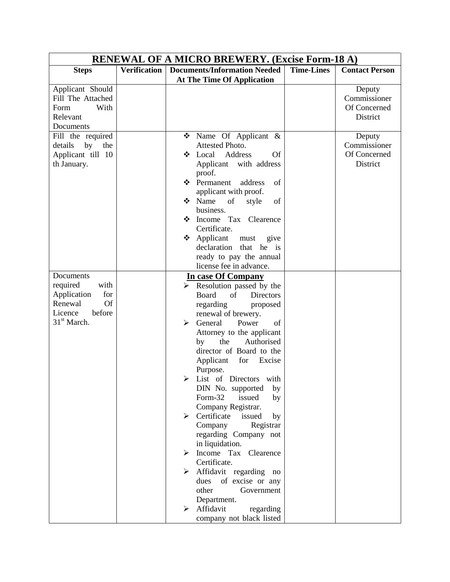| <b>Steps</b><br>Applicant Should<br>Fill The Attached                                                             | <b>Verification</b> | <b>Documents/Information Needed</b><br><b>At The Time Of Application</b>                                                                                                                                                                                                                                                                                                                                                                                                                                                                                                                                                                                                                               | <b>Time-Lines</b> | <b>Contact Person</b>                              |
|-------------------------------------------------------------------------------------------------------------------|---------------------|--------------------------------------------------------------------------------------------------------------------------------------------------------------------------------------------------------------------------------------------------------------------------------------------------------------------------------------------------------------------------------------------------------------------------------------------------------------------------------------------------------------------------------------------------------------------------------------------------------------------------------------------------------------------------------------------------------|-------------------|----------------------------------------------------|
|                                                                                                                   |                     |                                                                                                                                                                                                                                                                                                                                                                                                                                                                                                                                                                                                                                                                                                        |                   |                                                    |
| With<br>Form<br>Relevant<br>Documents                                                                             |                     |                                                                                                                                                                                                                                                                                                                                                                                                                                                                                                                                                                                                                                                                                                        |                   | Deputy<br>Commissioner<br>Of Concerned<br>District |
| Fill the required<br>details<br>by<br>the<br>Applicant till 10<br>th January.                                     |                     | $\bullet$ Name Of Applicant &<br>Attested Photo.<br><b>Of</b><br>Local<br>Address<br>❖<br>with address<br>Applicant<br>proof.<br>Permanent<br>address<br>of<br>❖<br>applicant with proof.<br>❖ Name<br>of<br>of<br>style<br>business.<br>Strategie Tax Clearence<br>Certificate.<br>$\triangleleft$ Applicant<br>give<br>must<br>declaration<br>that<br>he is<br>ready to pay the annual<br>license fee in advance.                                                                                                                                                                                                                                                                                    |                   | Deputy<br>Commissioner<br>Of Concerned<br>District |
| Documents<br>required<br>with<br>for<br>Application<br><b>Of</b><br>Renewal<br>Licence<br>before<br>$31st$ March. |                     | In case Of Company<br>$\triangleright$ Resolution passed by the<br>Board<br>of<br>Directors<br>regarding<br>proposed<br>renewal of brewery.<br>General<br>Power<br>of<br>⋗<br>Attorney to the applicant<br>the<br>Authorised<br>by<br>director of Board to the<br>for<br>Applicant<br>Excise<br>Purpose.<br>List of Directors with<br>➤<br>DIN No. supported<br>by<br>Form-32<br>issued<br>by<br>Company Registrar.<br>Certificate<br>issued<br>➤<br>by<br>Company<br>Registrar<br>regarding Company not<br>in liquidation.<br>Income Tax<br>Clearence<br>≻<br>Certificate.<br>Affidavit regarding no<br>of excise or any<br>dues<br>other<br>Government<br>Department.<br>Affidavit<br>regarding<br>➤ |                   |                                                    |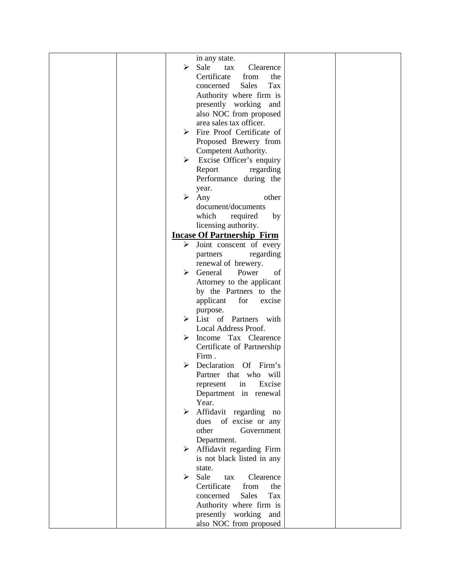|  |                       | in any state.                             |  |
|--|-----------------------|-------------------------------------------|--|
|  |                       |                                           |  |
|  | ➤                     | Sale<br>Clearence<br>tax                  |  |
|  |                       | Certificate<br>from<br>the                |  |
|  |                       | <b>Sales</b><br>Tax<br>concerned          |  |
|  |                       | Authority where firm is                   |  |
|  |                       | presently working and                     |  |
|  |                       | also NOC from proposed                    |  |
|  |                       | area sales tax officer.                   |  |
|  | ➤                     | Fire Proof Certificate of                 |  |
|  |                       | Proposed Brewery from                     |  |
|  |                       |                                           |  |
|  |                       | Competent Authority.                      |  |
|  |                       | $\triangleright$ Excise Officer's enquiry |  |
|  |                       | Report<br>regarding                       |  |
|  |                       | Performance during the                    |  |
|  |                       | year.                                     |  |
|  | ➤                     | other<br>Any                              |  |
|  |                       | document/documents                        |  |
|  |                       | which<br>required<br>by                   |  |
|  |                       | licensing authority.                      |  |
|  |                       | <b>Incase Of Partnership Firm</b>         |  |
|  |                       | $\triangleright$ Joint conscent of every  |  |
|  |                       |                                           |  |
|  |                       | regarding<br>partners                     |  |
|  |                       | renewal of brewery.                       |  |
|  | ➤                     | General<br>Power<br>of                    |  |
|  |                       | Attorney to the applicant                 |  |
|  |                       | by the Partners to the                    |  |
|  |                       | applicant<br>for<br>excise                |  |
|  |                       | purpose.                                  |  |
|  |                       | $\triangleright$ List of Partners with    |  |
|  |                       | Local Address Proof.                      |  |
|  | ➤                     | Income Tax Clearence                      |  |
|  |                       | Certificate of Partnership                |  |
|  |                       | Firm.                                     |  |
|  |                       | Declaration<br>Of Firm's                  |  |
|  |                       | Partner that who will                     |  |
|  |                       |                                           |  |
|  |                       | represent<br>Excise<br>in                 |  |
|  |                       | Department in renewal                     |  |
|  |                       | Year.                                     |  |
|  | ➤                     | Affidavit regarding no                    |  |
|  |                       | of excise or any<br>dues                  |  |
|  |                       | other<br>Government                       |  |
|  |                       | Department.                               |  |
|  | $\blacktriangleright$ | Affidavit regarding Firm                  |  |
|  |                       | is not black listed in any                |  |
|  |                       | state.                                    |  |
|  | ≻                     | Sale<br>Clearence<br>tax                  |  |
|  |                       | Certificate<br>from<br>the                |  |
|  |                       | concerned<br><b>Sales</b><br>Tax          |  |
|  |                       | Authority where firm is                   |  |
|  |                       | presently working and                     |  |
|  |                       | also NOC from proposed                    |  |
|  |                       |                                           |  |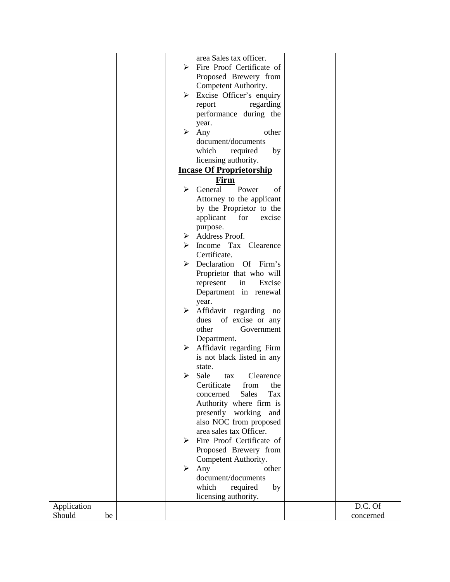|              |                       | area Sales tax officer.                  |           |
|--------------|-----------------------|------------------------------------------|-----------|
|              |                       |                                          |           |
|              | ⋗                     | Fire Proof Certificate of                |           |
|              |                       | Proposed Brewery from                    |           |
|              |                       | Competent Authority.                     |           |
|              | $\blacktriangleright$ | Excise Officer's enquiry                 |           |
|              |                       | regarding<br>report                      |           |
|              |                       | performance during the                   |           |
|              |                       | year.                                    |           |
|              | ➤                     | Any<br>other                             |           |
|              |                       | document/documents                       |           |
|              |                       | which<br>required<br>by                  |           |
|              |                       | licensing authority.                     |           |
|              |                       | <b>Incase Of Proprietorship</b>          |           |
|              |                       | Firm                                     |           |
|              | ⋗                     | General<br>Power<br>of                   |           |
|              |                       | Attorney to the applicant                |           |
|              |                       | by the Proprietor to the                 |           |
|              |                       | applicant<br>for<br>excise               |           |
|              |                       | purpose.                                 |           |
|              | ➤                     | Address Proof.                           |           |
|              |                       | Income Tax Clearence                     |           |
|              |                       | Certificate.                             |           |
|              | ➤                     | Declaration Of Firm's                    |           |
|              |                       |                                          |           |
|              |                       | Proprietor that who will<br>Excise       |           |
|              |                       | represent<br>in<br>Department in renewal |           |
|              |                       | year.                                    |           |
|              | ➤                     | Affidavit regarding no                   |           |
|              |                       | of excise or any<br>dues                 |           |
|              |                       | other<br>Government                      |           |
|              |                       |                                          |           |
|              | ➤                     | Department.<br>Affidavit regarding Firm  |           |
|              |                       |                                          |           |
|              |                       | is not black listed in any               |           |
|              | ➤                     | state.<br>Clearence                      |           |
|              |                       | Sale<br>tax                              |           |
|              |                       | Certificate<br>from<br>the               |           |
|              |                       | <b>Sales</b><br>Tax<br>concerned         |           |
|              |                       | Authority where firm is                  |           |
|              |                       | presently working<br>and                 |           |
|              |                       | also NOC from proposed                   |           |
|              |                       | area sales tax Officer.                  |           |
|              | ➤                     | Fire Proof Certificate of                |           |
|              |                       | Proposed Brewery from                    |           |
|              |                       | Competent Authority.                     |           |
|              | ➤                     | Any<br>other                             |           |
|              |                       | document/documents                       |           |
|              |                       | which<br>required<br>by                  |           |
|              |                       | licensing authority.                     |           |
| Application  |                       |                                          | D.C. Of   |
| Should<br>be |                       |                                          | concerned |